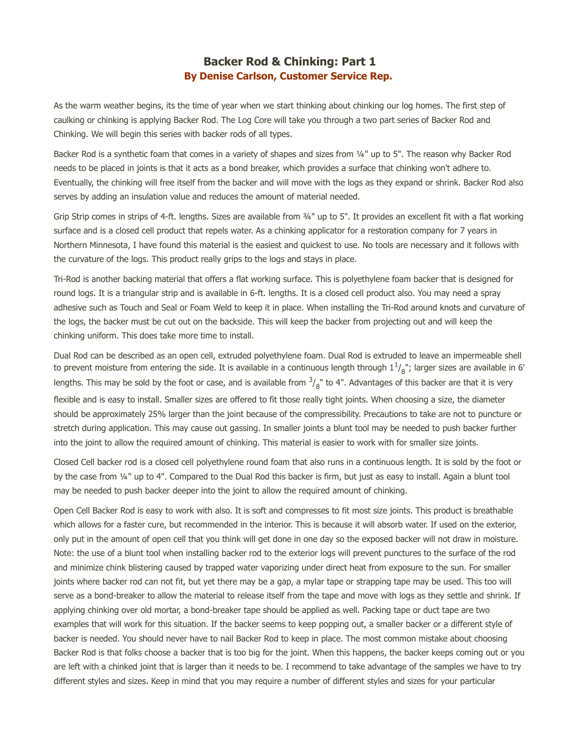## **Backer Rod & Chinking: Part 1 By Denise Carlson, Customer Service Rep.**

As the warm weather begins, its the time of year when we start thinking about chinking our log homes. The first step of caulking or chinking is applying Backer Rod. The Log Core will take you through a two part series of Backer Rod and Chinking. We will begin this series with backer rods of all types.

Backer Rod is a synthetic foam that comes in a variety of shapes and sizes from ¼" up to 5". The reason why Backer Rod needs to be placed in joints is that it acts as a bond breaker, which provides a surface that chinking won't adhere to. Eventually, the chinking will free itself from the backer and will move with the logs as they expand or shrink. Backer Rod also serves by adding an insulation value and reduces the amount of material needed.

Grip Strip comes in strips of 4-ft. lengths. Sizes are available from ¾" up to 5". It provides an excellent fit with a flat working surface and is a closed cell product that repels water. As a chinking applicator for a restoration company for 7 years in Northern Minnesota, I have found this material is the easiest and quickest to use. No tools are necessary and it follows with the curvature of the logs. This product really grips to the logs and stays in place.

Tri-Rod is another backing material that offers a flat working surface. This is polyethylene foam backer that is designed for round logs. It is a triangular strip and is available in 6-ft. lengths. It is a closed cell product also. You may need a spray adhesive such as Touch and Seal or Foam Weld to keep it in place. When installing the Tri-Rod around knots and curvature of the logs, the backer must be cut out on the backside. This will keep the backer from projecting out and will keep the chinking uniform. This does take more time to install.

Dual Rod can be described as an open cell, extruded polyethylene foam. Dual Rod is extruded to leave an impermeable shell to prevent moisture from entering the side. It is available in a continuous length through  $1^1\prime_8$ "; larger sizes are available in 6' lengths. This may be sold by the foot or case, and is available from  $\frac{3}{8}$ " to 4". Advantages of this backer are that it is very flexible and is easy to install. Smaller sizes are offered to fit those really tight joints. When choosing a size, the diameter should be approximately 25% larger than the joint because of the compressibility. Precautions to take are not to puncture or stretch during application. This may cause out gassing. In smaller joints a blunt tool may be needed to push backer further into the joint to allow the required amount of chinking. This material is easier to work with for smaller size joints.

Closed Cell backer rod is a closed cell polyethylene round foam that also runs in a continuous length. It is sold by the foot or by the case from ¼" up to 4". Compared to the Dual Rod this backer is firm, but just as easy to install. Again a blunt tool may be needed to push backer deeper into the joint to allow the required amount of chinking.

Open Cell Backer Rod is easy to work with also. It is soft and compresses to fit most size joints. This product is breathable which allows for a faster cure, but recommended in the interior. This is because it will absorb water. If used on the exterior, only put in the amount of open cell that you think will get done in one day so the exposed backer will not draw in moisture. Note: the use of a blunt tool when installing backer rod to the exterior logs will prevent punctures to the surface of the rod and minimize chink blistering caused by trapped water vaporizing under direct heat from exposure to the sun. For smaller joints where backer rod can not fit, but yet there may be a gap, a mylar tape or strapping tape may be used. This too will serve as a bond-breaker to allow the material to release itself from the tape and move with logs as they settle and shrink. If applying chinking over old mortar, a bond-breaker tape should be applied as well. Packing tape or duct tape are two examples that will work for this situation. If the backer seems to keep popping out, a smaller backer or a different style of backer is needed. You should never have to nail Backer Rod to keep in place. The most common mistake about choosing Backer Rod is that folks choose a backer that is too big for the joint. When this happens, the backer keeps coming out or you are left with a chinked joint that is larger than it needs to be. I recommend to take advantage of the samples we have to try different styles and sizes. Keep in mind that you may require a number of different styles and sizes for your particular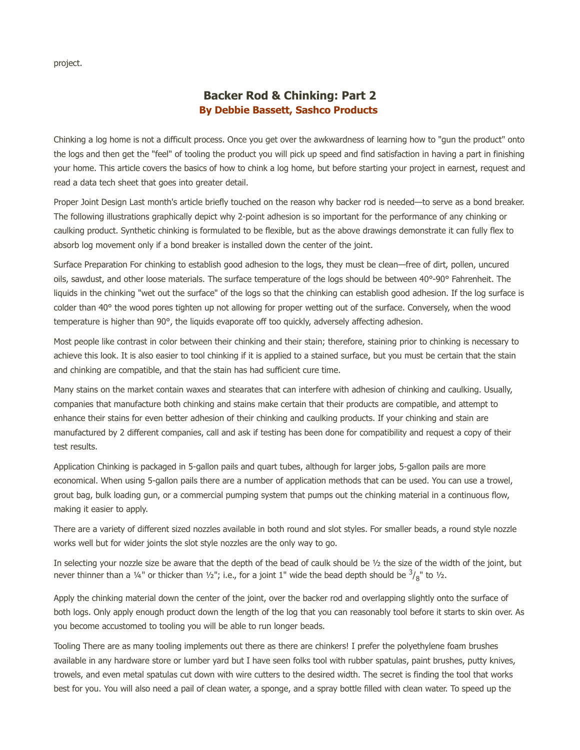project.

## **Backer Rod & Chinking: Part 2 By Debbie Bassett, Sashco Products**

Chinking a log home is not a difficult process. Once you get over the awkwardness of learning how to "gun the product" onto the logs and then get the "feel" of tooling the product you will pick up speed and find satisfaction in having a part in finishing your home. This article covers the basics of how to chink a log home, but before starting your project in earnest, request and read a data tech sheet that goes into greater detail.

Proper Joint Design Last month's article briefly touched on the reason why backer rod is needed—to serve as a bond breaker. The following illustrations graphically depict why 2-point adhesion is so important for the performance of any chinking or caulking product. Synthetic chinking is formulated to be flexible, but as the above drawings demonstrate it can fully flex to absorb log movement only if a bond breaker is installed down the center of the joint.

Surface Preparation For chinking to establish good adhesion to the logs, they must be clean—free of dirt, pollen, uncured oils, sawdust, and other loose materials. The surface temperature of the logs should be between 40°-90° Fahrenheit. The liquids in the chinking "wet out the surface" of the logs so that the chinking can establish good adhesion. If the log surface is colder than 40° the wood pores tighten up not allowing for proper wetting out of the surface. Conversely, when the wood temperature is higher than 90°, the liquids evaporate off too quickly, adversely affecting adhesion.

Most people like contrast in color between their chinking and their stain; therefore, staining prior to chinking is necessary to achieve this look. It is also easier to tool chinking if it is applied to a stained surface, but you must be certain that the stain and chinking are compatible, and that the stain has had sufficient cure time.

Many stains on the market contain waxes and stearates that can interfere with adhesion of chinking and caulking. Usually, companies that manufacture both chinking and stains make certain that their products are compatible, and attempt to enhance their stains for even better adhesion of their chinking and caulking products. If your chinking and stain are manufactured by 2 different companies, call and ask if testing has been done for compatibility and request a copy of their test results.

Application Chinking is packaged in 5-gallon pails and quart tubes, although for larger jobs, 5-gallon pails are more economical. When using 5-gallon pails there are a number of application methods that can be used. You can use a trowel, grout bag, bulk loading gun, or a commercial pumping system that pumps out the chinking material in a continuous flow, making it easier to apply.

There are a variety of different sized nozzles available in both round and slot styles. For smaller beads, a round style nozzle works well but for wider joints the slot style nozzles are the only way to go.

In selecting your nozzle size be aware that the depth of the bead of caulk should be  $\frac{1}{2}$  the size of the width of the joint, but never thinner than a 1⁄4" or thicker than 1⁄2"; i.e., for a joint 1" wide the bead depth should be  $\frac{3}{8}$ " to 1/2.

Apply the chinking material down the center of the joint, over the backer rod and overlapping slightly onto the surface of both logs. Only apply enough product down the length of the log that you can reasonably tool before it starts to skin over. As you become accustomed to tooling you will be able to run longer beads.

Tooling There are as many tooling implements out there as there are chinkers! I prefer the polyethylene foam brushes available in any hardware store or lumber yard but I have seen folks tool with rubber spatulas, paint brushes, putty knives, trowels, and even metal spatulas cut down with wire cutters to the desired width. The secret is finding the tool that works best for you. You will also need a pail of clean water, a sponge, and a spray bottle filled with clean water. To speed up the